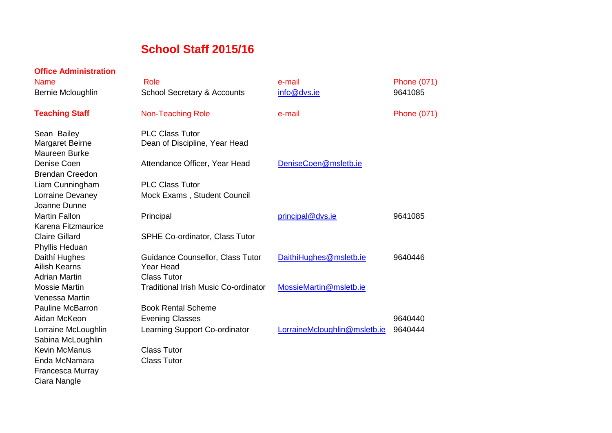## **School Staff 2015/16**

| <b>Office Administration</b> |                                             |                              |                    |
|------------------------------|---------------------------------------------|------------------------------|--------------------|
| <b>Name</b>                  | Role                                        | e-mail                       | <b>Phone (071)</b> |
| Bernie Mcloughlin            | <b>School Secretary &amp; Accounts</b>      | info@dvs.ie                  | 9641085            |
| <b>Teaching Staff</b>        | <b>Non-Teaching Role</b>                    | e-mail                       | <b>Phone (071)</b> |
| Sean Bailey                  | <b>PLC Class Tutor</b>                      |                              |                    |
| <b>Margaret Beirne</b>       | Dean of Discipline, Year Head               |                              |                    |
| <b>Maureen Burke</b>         |                                             |                              |                    |
| Denise Coen                  | Attendance Officer, Year Head               | DeniseCoen@msletb.ie         |                    |
| <b>Brendan Creedon</b>       |                                             |                              |                    |
| Liam Cunningham              | <b>PLC Class Tutor</b>                      |                              |                    |
| Lorraine Devaney             | Mock Exams, Student Council                 |                              |                    |
| Joanne Dunne                 |                                             |                              |                    |
| <b>Martin Fallon</b>         | Principal                                   | principal@dvs.ie             | 9641085            |
| Karena Fitzmaurice           |                                             |                              |                    |
| <b>Claire Gillard</b>        | <b>SPHE Co-ordinator, Class Tutor</b>       |                              |                    |
| Phyllis Heduan               |                                             |                              |                    |
| Daithí Hughes                | Guidance Counsellor, Class Tutor            | DaithiHughes@msletb.ie       | 9640446            |
| <b>Ailish Kearns</b>         | Year Head                                   |                              |                    |
| <b>Adrian Martin</b>         | <b>Class Tutor</b>                          |                              |                    |
| <b>Mossie Martin</b>         | <b>Traditional Irish Music Co-ordinator</b> | MossieMartin@msletb.ie       |                    |
| <b>Venessa Martin</b>        |                                             |                              |                    |
| <b>Pauline McBarron</b>      | <b>Book Rental Scheme</b>                   |                              |                    |
| Aidan McKeon                 | <b>Evening Classes</b>                      |                              | 9640440            |
| Lorraine McLoughlin          | Learning Support Co-ordinator               | LorraineMcloughlin@msletb.ie | 9640444            |
| Sabina McLoughlin            |                                             |                              |                    |
| <b>Kevin McManus</b>         | <b>Class Tutor</b>                          |                              |                    |
| Enda McNamara                | <b>Class Tutor</b>                          |                              |                    |
| Francesca Murray             |                                             |                              |                    |
| Ciara Nangle                 |                                             |                              |                    |